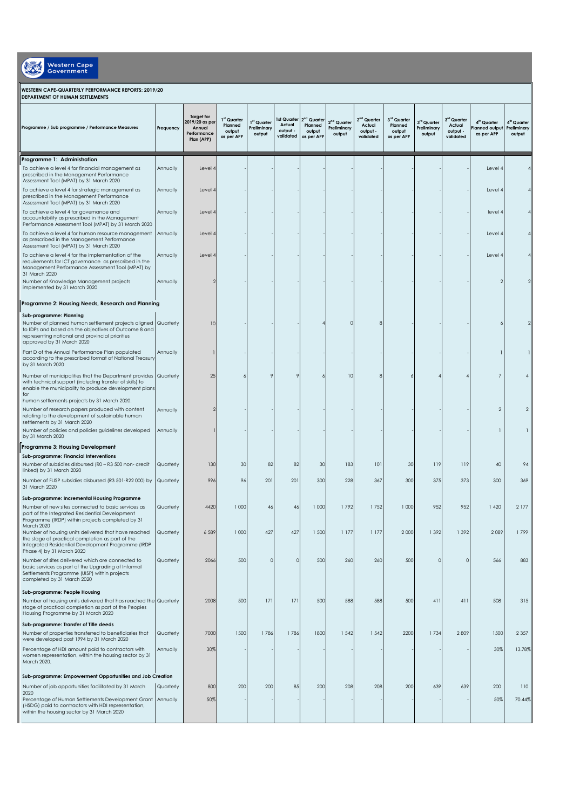| <b>Western Cape</b><br><b>Government</b>                                                                                                                                                                                         |           |                                                                            |                                                            |                                      |                                                |                                                            |                                                  |                                                  |                                                |                                      |                                                            |                                                        |                                                  |
|----------------------------------------------------------------------------------------------------------------------------------------------------------------------------------------------------------------------------------|-----------|----------------------------------------------------------------------------|------------------------------------------------------------|--------------------------------------|------------------------------------------------|------------------------------------------------------------|--------------------------------------------------|--------------------------------------------------|------------------------------------------------|--------------------------------------|------------------------------------------------------------|--------------------------------------------------------|--------------------------------------------------|
| WESTERN CAPE-QUARTERLY PERFORMANCE REPORTS: 2019/20<br>DEPARTMENT OF HUMAN SETTLEMENTS                                                                                                                                           |           |                                                                            |                                                            |                                      |                                                |                                                            |                                                  |                                                  |                                                |                                      |                                                            |                                                        |                                                  |
| Programme / Sub programme / Performance Measures                                                                                                                                                                                 | Frequency | <b>Target for</b><br>2019/20 as per<br>Annual<br>Performance<br>Plan (APP) | 1 <sup>st</sup> Quarter<br>Planned<br>output<br>as per APP | 1st Quarter<br>Preliminary<br>output | 1st Quarter<br>Actual<br>output -<br>validated | 2 <sup>nd</sup> Quarter<br>Planned<br>output<br>as per APP | 2 <sup>nd</sup> Quarter<br>Preliminary<br>output | $2nd$ Quarter<br>Actual<br>output -<br>validated | 3rd Quarter<br>Planned<br>output<br>as per APP | 3rd Quarter<br>Preliminary<br>output | 3 <sup>rd</sup> Quarter<br>Actual<br>output -<br>validated | 4 <sup>th</sup> Quarter<br>lanned output<br>as per APP | 4 <sup>th</sup> Quarter<br>Preliminary<br>output |
| Programme 1: Administration                                                                                                                                                                                                      |           |                                                                            |                                                            |                                      |                                                |                                                            |                                                  |                                                  |                                                |                                      |                                                            |                                                        |                                                  |
| To achieve a level 4 for financial management as<br>prescribed in the Management Performance<br>Assessment Tool (MPAT) by 31 March 2020                                                                                          | Annually  | Level 4                                                                    |                                                            |                                      |                                                |                                                            |                                                  |                                                  |                                                |                                      |                                                            | Level 4                                                |                                                  |
| To achieve a level 4 for strategic management as<br>prescribed in the Management Performance<br>Assessment Tool (MPAT) by 31 March 2020                                                                                          | Annually  | Level 4                                                                    |                                                            |                                      |                                                |                                                            |                                                  |                                                  |                                                |                                      |                                                            | Level 4                                                |                                                  |
| To achieve a level 4 for governance and<br>accountability as prescribed in the Management<br>Performance Assessment Tool (MPAT) by 31 March 2020                                                                                 | Annually  | Level 4                                                                    |                                                            |                                      |                                                |                                                            |                                                  |                                                  |                                                |                                      |                                                            | level 4                                                |                                                  |
| To achieve a level 4 for human resource management<br>as prescribed in the Management Performance<br>Assessment Tool (MPAT) by 31 March 2020                                                                                     | Annually  | Level 4                                                                    |                                                            |                                      |                                                |                                                            |                                                  |                                                  |                                                |                                      |                                                            | Level 4                                                |                                                  |
| To achieve a level 4 for the implementation of the<br>requirements for ICT governance as prescribed in the<br>Management Performance Assessment Tool (MPAT) by<br>31 March 2020                                                  | Annually  | Level 4                                                                    |                                                            |                                      |                                                |                                                            |                                                  |                                                  |                                                |                                      |                                                            | Level 4                                                |                                                  |
| Number of Knowledge Management projects<br>implemented by 31 March 2020                                                                                                                                                          | Annually  | $\overline{2}$                                                             |                                                            |                                      |                                                |                                                            |                                                  |                                                  |                                                |                                      |                                                            |                                                        |                                                  |
| Programme 2: Housing Needs, Research and Planning                                                                                                                                                                                |           |                                                                            |                                                            |                                      |                                                |                                                            |                                                  |                                                  |                                                |                                      |                                                            |                                                        |                                                  |
| Sub-programme: Planning<br>Number of planned human settlement projects aligned Quarterly<br>to IDPs and based on the objectives of Outcome 8 and<br>representing national and provincial priorities<br>approved by 31 March 2020 |           | 10                                                                         |                                                            |                                      |                                                |                                                            | $\Omega$                                         |                                                  |                                                |                                      |                                                            |                                                        |                                                  |
| Part D of the Annual Performance Plan populated<br>according to the prescribed format of National Treasury<br>by 31 March 2020                                                                                                   | Annually  |                                                                            |                                                            |                                      |                                                |                                                            |                                                  |                                                  |                                                |                                      |                                                            |                                                        |                                                  |
| Number of municipalities that the Department provides Quarterly<br>with technical support (including transfer of skills) to<br>enable the municipality to produce development plans<br>for                                       |           | 25                                                                         |                                                            |                                      | 9                                              |                                                            | 10                                               |                                                  |                                                |                                      |                                                            | $\overline{7}$                                         | 4                                                |
| human settlements projects by 31 March 2020.<br>Number of research papers produced with content<br>relating to the development of sustainable human<br>settlements by 31 March 2020                                              | Annually  | $\overline{2}$                                                             |                                                            |                                      |                                                |                                                            |                                                  |                                                  |                                                |                                      |                                                            | $\overline{2}$                                         | $\overline{2}$                                   |
| Number of policies and policies guidelines developed<br>by 31 March 2020                                                                                                                                                         | Annually  |                                                                            |                                                            |                                      |                                                |                                                            |                                                  |                                                  |                                                |                                      |                                                            | $\mathbf{1}$                                           |                                                  |
| Programme 3: Housing Development<br>Sub-programme: Financial Interventions                                                                                                                                                       |           |                                                                            |                                                            |                                      |                                                |                                                            |                                                  |                                                  |                                                |                                      |                                                            |                                                        |                                                  |
| Number of subsidies disbursed (R0 - R3 500 non- credit<br>linked) by 31 March 2020                                                                                                                                               | Quarterly | 130                                                                        | 30                                                         | 82                                   | 82                                             | 30                                                         | 183                                              | 101                                              | 30                                             | 119                                  | 119                                                        | 40                                                     | 94                                               |
| Number of FLISP subsidies disbursed (R3 501-R22 000) by Quarterly<br>31 March 2020<br>Sub-programme: Incremental Housing Programme                                                                                               |           | 996                                                                        | 96                                                         | 201                                  | 201                                            | 300                                                        | 228                                              | 367                                              | 300                                            | 375                                  | 373                                                        | 300                                                    | 369                                              |
| Number of new sites connected to basic services as<br>part of the Integrated Residential Development<br>Programme (IRDP) within projects completed by 31<br>March 2020                                                           | Quarterly | 4420                                                                       | 1000                                                       | 46                                   | 46                                             | 1000                                                       | 1792                                             | 1752                                             | 1 0 0 0                                        | 952                                  | 952                                                        | 1420                                                   | 2177                                             |
| Number of housing units delivered that have reached<br>the stage of practical completion as part of the<br>Integrated Residential Development Programme (IRDP<br>Phase 4) by 31 March 2020                                       | Quarterly | 6 5 8 9                                                                    | 1000                                                       | 427                                  | 427                                            | 1 500                                                      | 1 177                                            | 1 177                                            | 2 0 0 0                                        | 1 3 9 2                              | 1 3 9 2                                                    | 2089                                                   | 1799                                             |
| Number of sites delivered which are connected to<br>basic services as part of the Upgrading of Informal<br>Settlements Programme (UISP) within projects<br>completed by 31 March 2020                                            | Quarterly | 2066                                                                       | 500                                                        | 0                                    | $\circ$                                        | 500                                                        | 260                                              | 260                                              | 500                                            | $\circ$                              | $\circ$                                                    | 566                                                    | 883                                              |
| Sub-programme: People Housing<br>Number of housing units delivered that has reached the Quarterly<br>stage of practical completion as part of the Peoples<br>Housing Programme by 31 March 2020                                  |           | 2008                                                                       | 500                                                        | 171                                  | 171                                            | 500                                                        | 588                                              | 588                                              | 500                                            | 411                                  | 411                                                        | 508                                                    | 315                                              |
| Sub-programme: Transfer of Title deeds<br>Number of properties transferred to beneficiaries that<br>were developed post 1994 by 31 March 2020                                                                                    | Quarterly | 7000                                                                       | 1500                                                       | 1786                                 | 1786                                           | 1800                                                       | 1 5 4 2                                          | 1 5 4 2                                          | 2200                                           | 1734                                 | 2809                                                       | 1500                                                   | 2 3 5 7                                          |
| Percentage of HDI amount paid to contractors with<br>women representation, within the housing sector by 31<br>March 2020.                                                                                                        | Annually  | 30%                                                                        |                                                            |                                      |                                                |                                                            |                                                  |                                                  |                                                |                                      |                                                            | 30%                                                    | 13.78%                                           |
| Sub-programme: Empowerment Opportunities and Job Creation                                                                                                                                                                        |           |                                                                            |                                                            |                                      |                                                |                                                            |                                                  |                                                  |                                                |                                      |                                                            |                                                        |                                                  |
| Number of job opportunities facilitated by 31 March                                                                                                                                                                              | Quarterly | 800                                                                        | 200                                                        | 200                                  | 85                                             | 200                                                        | 208                                              | 208                                              | 200                                            | 639                                  | 639                                                        | 200                                                    | 110                                              |
| 2020<br>Percentage of Human Settlements Development Grant Annually<br>(HSDG) paid to contractors with HDI representation,<br>within the housing sector by 31 March 2020                                                          |           | 50%                                                                        |                                                            |                                      |                                                |                                                            |                                                  |                                                  |                                                |                                      |                                                            | 50%                                                    | 70.44%                                           |